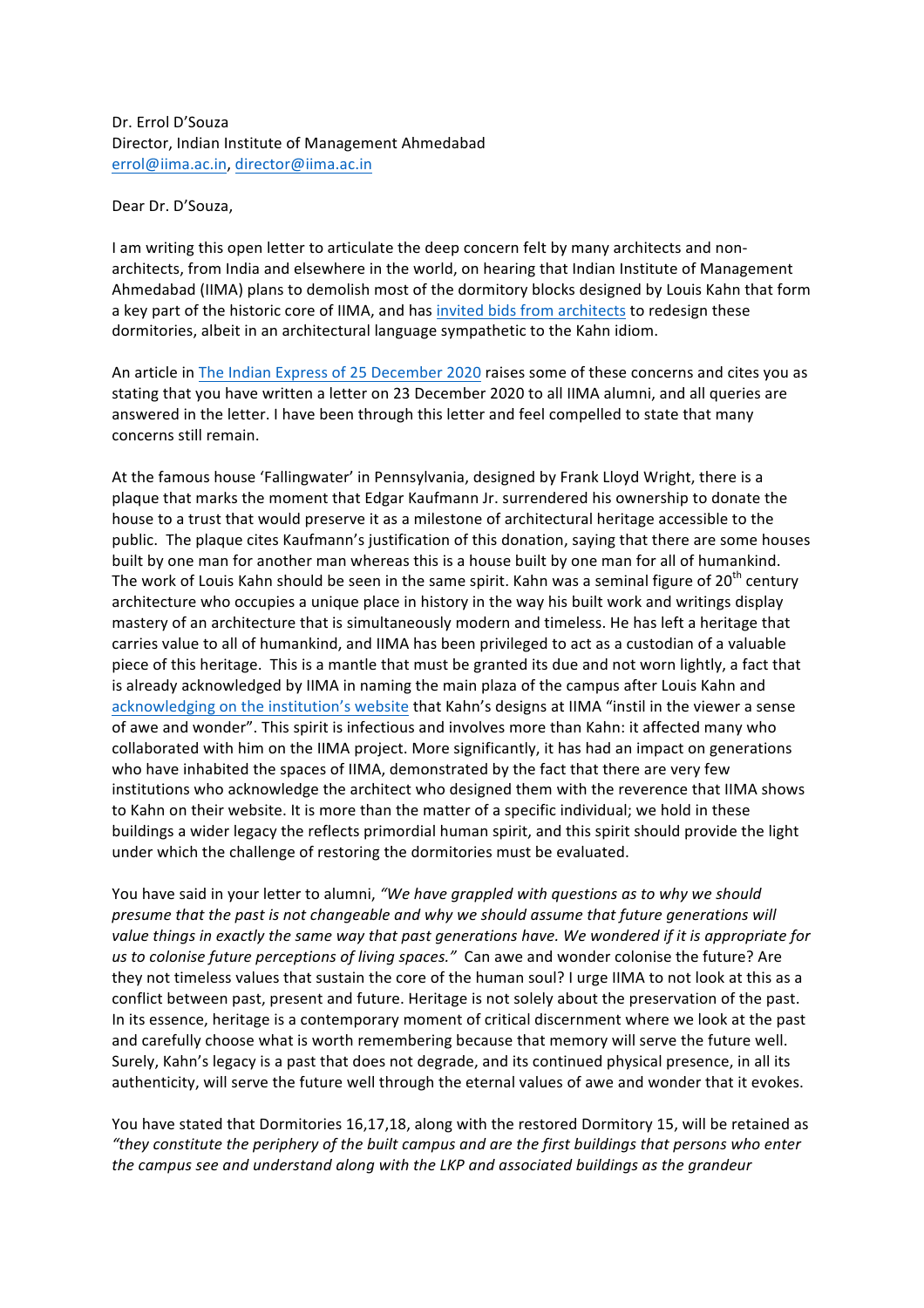Dr. Errol D'Souza Director, Indian Institute of Management Ahmedabad errol@iima.ac.in, director@iima.ac.in

Dear Dr. D'Souza.

I am writing this open letter to articulate the deep concern felt by many architects and nonarchitects, from India and elsewhere in the world, on hearing that Indian Institute of Management Ahmedabad (IIMA) plans to demolish most of the dormitory blocks designed by Louis Kahn that form a key part of the historic core of IIMA, and has invited bids from architects to redesign these dormitories, albeit in an architectural language sympathetic to the Kahn idiom.

An article in The Indian Express of 25 December 2020 raises some of these concerns and cites you as stating that you have written a letter on 23 December 2020 to all IIMA alumni, and all queries are answered in the letter. I have been through this letter and feel compelled to state that many concerns still remain.

At the famous house 'Fallingwater' in Pennsylvania, designed by Frank Lloyd Wright, there is a plaque that marks the moment that Edgar Kaufmann Jr. surrendered his ownership to donate the house to a trust that would preserve it as a milestone of architectural heritage accessible to the public. The plaque cites Kaufmann's justification of this donation, saying that there are some houses built by one man for another man whereas this is a house built by one man for all of humankind. The work of Louis Kahn should be seen in the same spirit. Kahn was a seminal figure of  $20^{th}$  century architecture who occupies a unique place in history in the way his built work and writings display mastery of an architecture that is simultaneously modern and timeless. He has left a heritage that carries value to all of humankind, and IIMA has been privileged to act as a custodian of a valuable piece of this heritage. This is a mantle that must be granted its due and not worn lightly, a fact that is already acknowledged by IIMA in naming the main plaza of the campus after Louis Kahn and acknowledging on the institution's website that Kahn's designs at IIMA "instil in the viewer a sense of awe and wonder". This spirit is infectious and involves more than Kahn: it affected many who collaborated with him on the IIMA project. More significantly, it has had an impact on generations who have inhabited the spaces of IIMA, demonstrated by the fact that there are very few institutions who acknowledge the architect who designed them with the reverence that IIMA shows to Kahn on their website. It is more than the matter of a specific individual; we hold in these buildings a wider legacy the reflects primordial human spirit, and this spirit should provide the light under which the challenge of restoring the dormitories must be evaluated.

You have said in your letter to alumni, *"We have grappled with questions as to why we should presume that the past is not changeable and why we should assume that future generations will* value things in exactly the same way that past generations have. We wondered if it is appropriate for us to colonise future perceptions of living spaces." Can awe and wonder colonise the future? Are they not timeless values that sustain the core of the human soul? I urge IIMA to not look at this as a conflict between past, present and future. Heritage is not solely about the preservation of the past. In its essence, heritage is a contemporary moment of critical discernment where we look at the past and carefully choose what is worth remembering because that memory will serve the future well. Surely, Kahn's legacy is a past that does not degrade, and its continued physical presence, in all its authenticity, will serve the future well through the eternal values of awe and wonder that it evokes.

You have stated that Dormitories 16,17,18, along with the restored Dormitory 15, will be retained as *"they constitute the periphery of the built campus and are the first buildings that persons who enter*  the campus see and understand along with the LKP and associated buildings as the grandeur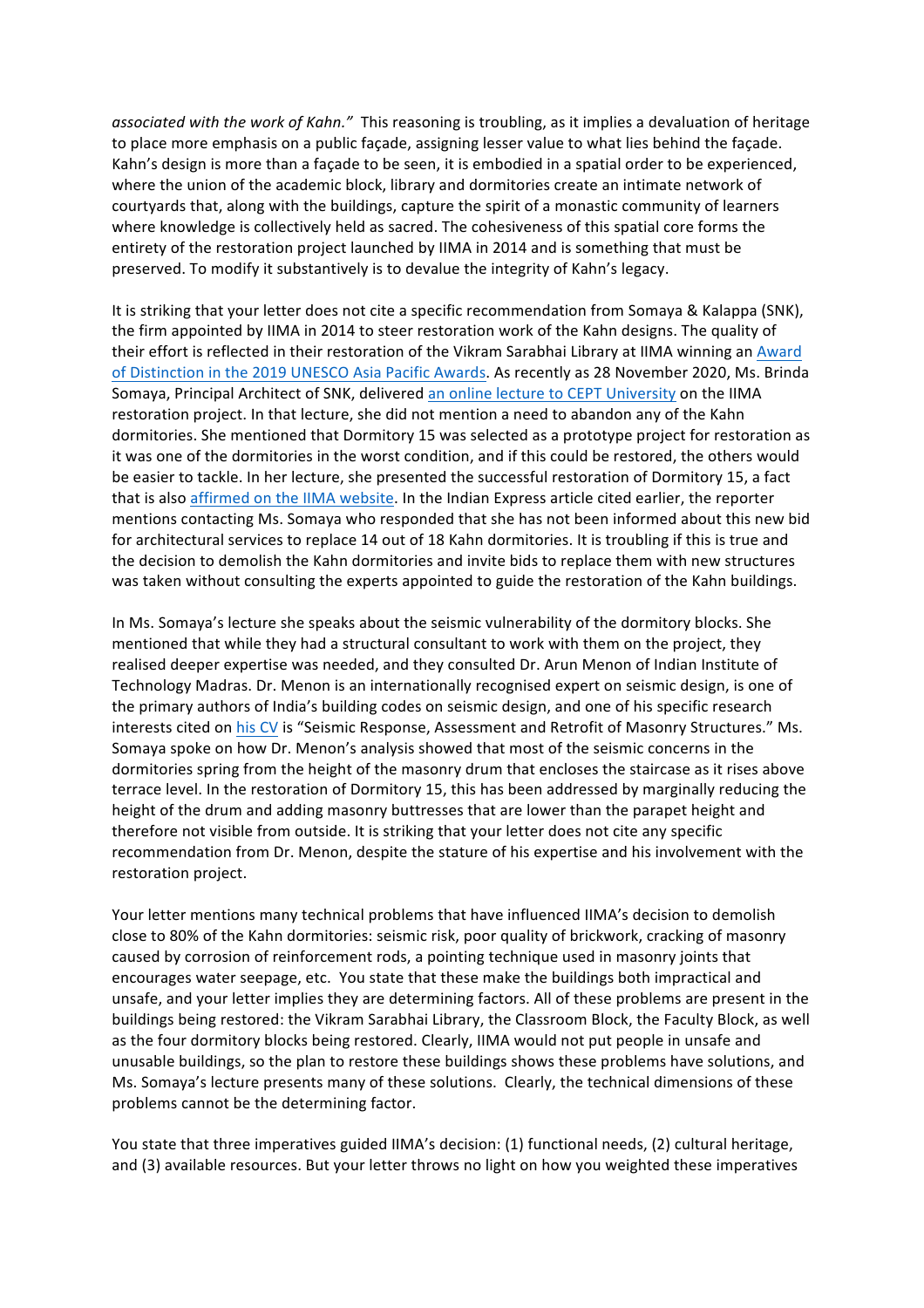associated with the work of Kahn." This reasoning is troubling, as it implies a devaluation of heritage to place more emphasis on a public façade, assigning lesser value to what lies behind the façade. Kahn's design is more than a façade to be seen, it is embodied in a spatial order to be experienced, where the union of the academic block, library and dormitories create an intimate network of courtyards that, along with the buildings, capture the spirit of a monastic community of learners where knowledge is collectively held as sacred. The cohesiveness of this spatial core forms the entirety of the restoration project launched by IIMA in 2014 and is something that must be preserved. To modify it substantively is to devalue the integrity of Kahn's legacy.

It is striking that your letter does not cite a specific recommendation from Somaya & Kalappa (SNK), the firm appointed by IIMA in 2014 to steer restoration work of the Kahn designs. The quality of their effort is reflected in their restoration of the Vikram Sarabhai Library at IIMA winning an Award of Distinction in the 2019 UNESCO Asia Pacific Awards. As recently as 28 November 2020, Ms. Brinda Somaya, Principal Architect of SNK, delivered an online lecture to CEPT University on the IIMA restoration project. In that lecture, she did not mention a need to abandon any of the Kahn dormitories. She mentioned that Dormitory 15 was selected as a prototype project for restoration as it was one of the dormitories in the worst condition, and if this could be restored, the others would be easier to tackle. In her lecture, she presented the successful restoration of Dormitory 15, a fact that is also affirmed on the IIMA website. In the Indian Express article cited earlier, the reporter mentions contacting Ms. Somaya who responded that she has not been informed about this new bid for architectural services to replace 14 out of 18 Kahn dormitories. It is troubling if this is true and the decision to demolish the Kahn dormitories and invite bids to replace them with new structures was taken without consulting the experts appointed to guide the restoration of the Kahn buildings.

In Ms. Somaya's lecture she speaks about the seismic vulnerability of the dormitory blocks. She mentioned that while they had a structural consultant to work with them on the project, they realised deeper expertise was needed, and they consulted Dr. Arun Menon of Indian Institute of Technology Madras. Dr. Menon is an internationally recognised expert on seismic design, is one of the primary authors of India's building codes on seismic design, and one of his specific research interests cited on his CV is "Seismic Response, Assessment and Retrofit of Masonry Structures." Ms. Somaya spoke on how Dr. Menon's analysis showed that most of the seismic concerns in the dormitories spring from the height of the masonry drum that encloses the staircase as it rises above terrace level. In the restoration of Dormitory 15, this has been addressed by marginally reducing the height of the drum and adding masonry buttresses that are lower than the parapet height and therefore not visible from outside. It is striking that your letter does not cite any specific recommendation from Dr. Menon, despite the stature of his expertise and his involvement with the restoration project.

Your letter mentions many technical problems that have influenced IIMA's decision to demolish close to 80% of the Kahn dormitories: seismic risk, poor quality of brickwork, cracking of masonry caused by corrosion of reinforcement rods, a pointing technique used in masonry joints that encourages water seepage, etc. You state that these make the buildings both impractical and unsafe, and your letter implies they are determining factors. All of these problems are present in the buildings being restored: the Vikram Sarabhai Library, the Classroom Block, the Faculty Block, as well as the four dormitory blocks being restored. Clearly, IIMA would not put people in unsafe and unusable buildings, so the plan to restore these buildings shows these problems have solutions, and Ms. Somaya's lecture presents many of these solutions. Clearly, the technical dimensions of these problems cannot be the determining factor.

You state that three imperatives guided IIMA's decision: (1) functional needs, (2) cultural heritage, and (3) available resources. But your letter throws no light on how you weighted these imperatives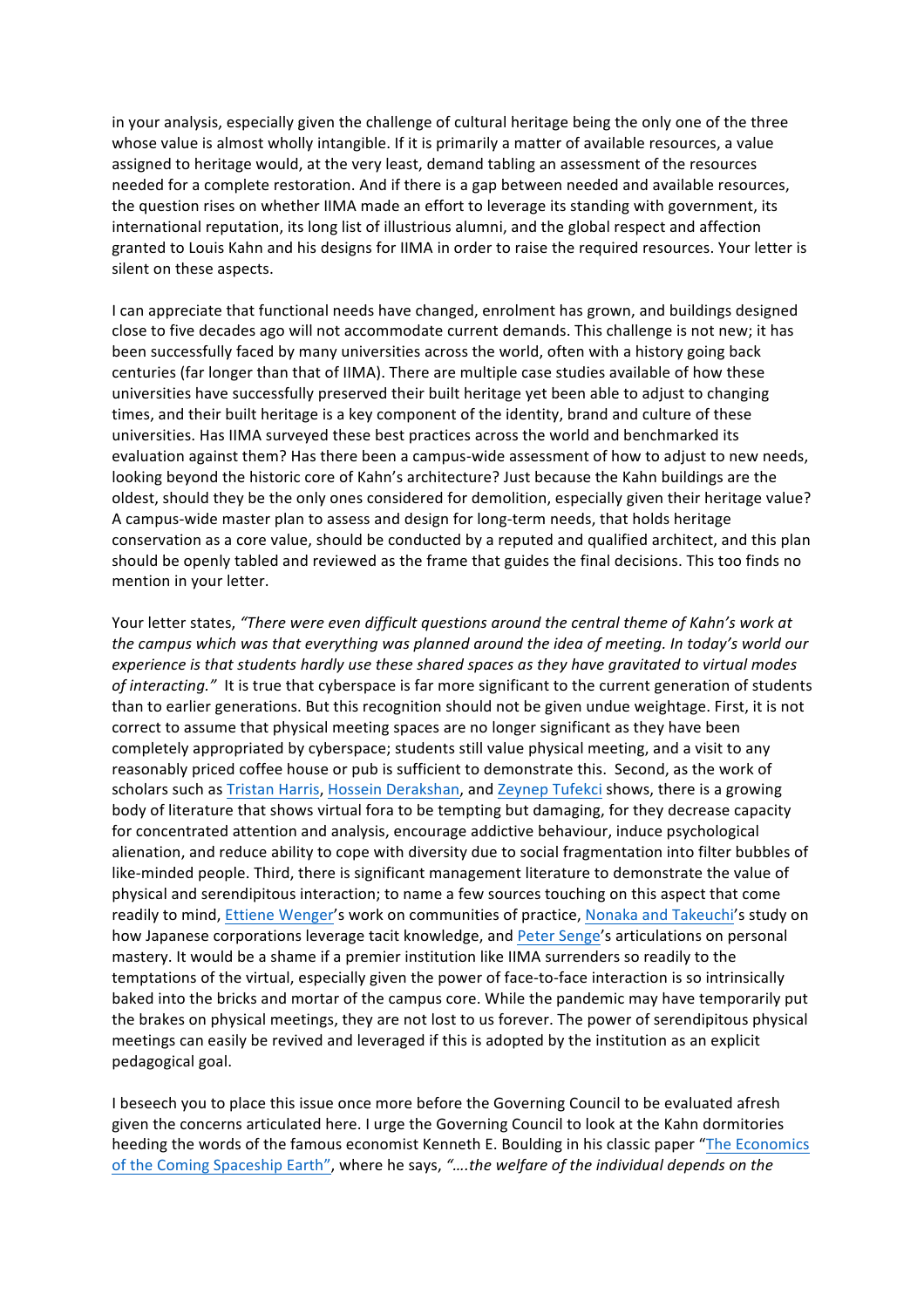in your analysis, especially given the challenge of cultural heritage being the only one of the three whose value is almost wholly intangible. If it is primarily a matter of available resources, a value assigned to heritage would, at the very least, demand tabling an assessment of the resources needed for a complete restoration. And if there is a gap between needed and available resources, the question rises on whether IIMA made an effort to leverage its standing with government, its international reputation, its long list of illustrious alumni, and the global respect and affection granted to Louis Kahn and his designs for IIMA in order to raise the required resources. Your letter is silent on these aspects.

I can appreciate that functional needs have changed, enrolment has grown, and buildings designed close to five decades ago will not accommodate current demands. This challenge is not new; it has been successfully faced by many universities across the world, often with a history going back centuries (far longer than that of IIMA). There are multiple case studies available of how these universities have successfully preserved their built heritage yet been able to adjust to changing times, and their built heritage is a key component of the identity, brand and culture of these universities. Has IIMA surveyed these best practices across the world and benchmarked its evaluation against them? Has there been a campus-wide assessment of how to adjust to new needs, looking beyond the historic core of Kahn's architecture? Just because the Kahn buildings are the oldest, should they be the only ones considered for demolition, especially given their heritage value? A campus-wide master plan to assess and design for long-term needs, that holds heritage conservation as a core value, should be conducted by a reputed and qualified architect, and this plan should be openly tabled and reviewed as the frame that guides the final decisions. This too finds no mention in your letter.

Your letter states, "There were even difficult questions around the central theme of Kahn's work at the campus which was that everything was planned around the idea of meeting. In today's world our experience is that students hardly use these shared spaces as they have gravitated to virtual modes of interacting." It is true that cyberspace is far more significant to the current generation of students than to earlier generations. But this recognition should not be given undue weightage. First, it is not correct to assume that physical meeting spaces are no longer significant as they have been completely appropriated by cyberspace; students still value physical meeting, and a visit to any reasonably priced coffee house or pub is sufficient to demonstrate this. Second, as the work of scholars such as Tristan Harris, Hossein Derakshan, and Zeynep Tufekci shows, there is a growing body of literature that shows virtual fora to be tempting but damaging, for they decrease capacity for concentrated attention and analysis, encourage addictive behaviour, induce psychological alienation, and reduce ability to cope with diversity due to social fragmentation into filter bubbles of like-minded people. Third, there is significant management literature to demonstrate the value of physical and serendipitous interaction; to name a few sources touching on this aspect that come readily to mind, Ettiene Wenger's work on communities of practice, Nonaka and Takeuchi's study on how Japanese corporations leverage tacit knowledge, and Peter Senge's articulations on personal mastery. It would be a shame if a premier institution like IIMA surrenders so readily to the temptations of the virtual, especially given the power of face-to-face interaction is so intrinsically baked into the bricks and mortar of the campus core. While the pandemic may have temporarily put the brakes on physical meetings, they are not lost to us forever. The power of serendipitous physical meetings can easily be revived and leveraged if this is adopted by the institution as an explicit pedagogical goal.

I beseech you to place this issue once more before the Governing Council to be evaluated afresh given the concerns articulated here. I urge the Governing Council to look at the Kahn dormitories heeding the words of the famous economist Kenneth E. Boulding in his classic paper "The Economics of the Coming Spaceship Earth", where he says, "....the welfare of the individual depends on the